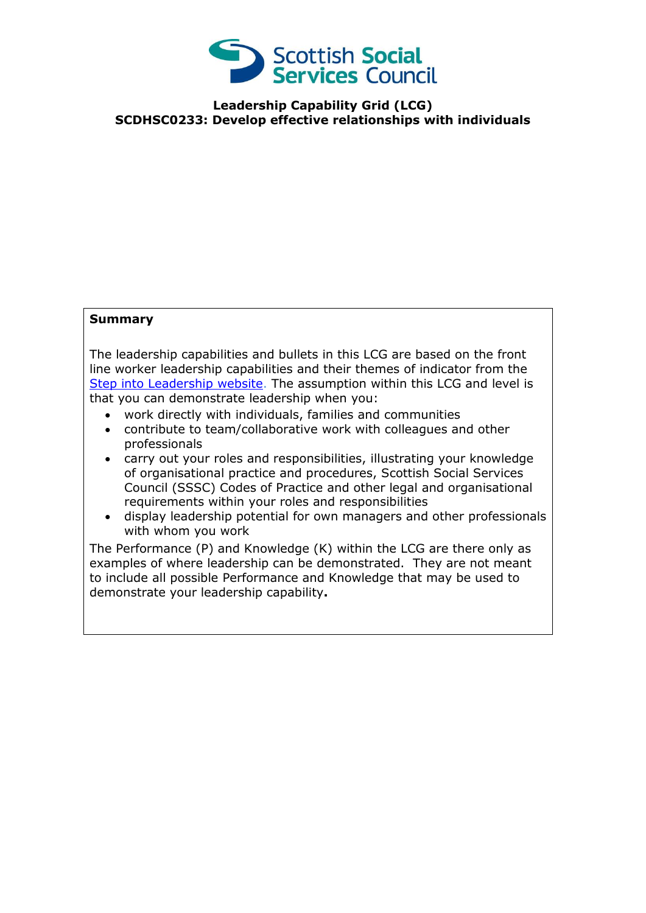

**Leadership Capability Grid (LCG) SCDHSC0233: Develop effective relationships with individuals**

## **Summary**

The leadership capabilities and bullets in this LCG are based on the front line worker leadership capabilities and their themes of indicator from the [Step into Leadership website.](http://www.stepintoleadership.info/) The assumption within this LCG and level is that you can demonstrate leadership when you:

- work directly with individuals, families and communities
- contribute to team/collaborative work with colleagues and other professionals
- carry out your roles and responsibilities, illustrating your knowledge of organisational practice and procedures, Scottish Social Services Council (SSSC) Codes of Practice and other legal and organisational requirements within your roles and responsibilities
- display leadership potential for own managers and other professionals with whom you work

The Performance (P) and Knowledge (K) within the LCG are there only as examples of where leadership can be demonstrated. They are not meant to include all possible Performance and Knowledge that may be used to demonstrate your leadership capability**.**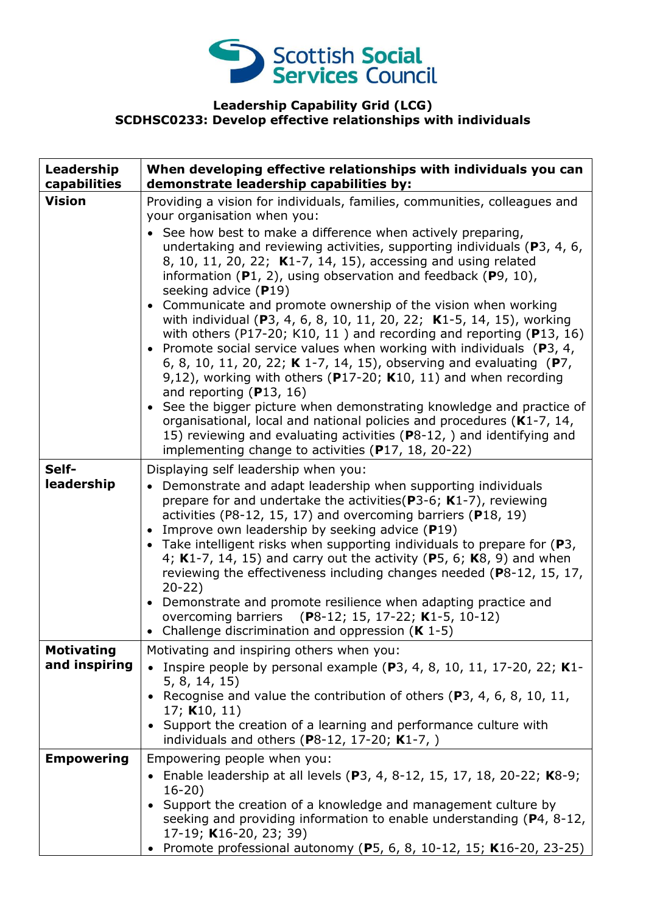

## **Leadership Capability Grid (LCG) SCDHSC0233: Develop effective relationships with individuals**

| Leadership<br>capabilities         | When developing effective relationships with individuals you can<br>demonstrate leadership capabilities by:                                                                                                                                                                                                                                                                                                                                                                                                                                                                                                                                                                                                                                                                                                                                                                                                                                                                                                                                                                                                                                                                    |
|------------------------------------|--------------------------------------------------------------------------------------------------------------------------------------------------------------------------------------------------------------------------------------------------------------------------------------------------------------------------------------------------------------------------------------------------------------------------------------------------------------------------------------------------------------------------------------------------------------------------------------------------------------------------------------------------------------------------------------------------------------------------------------------------------------------------------------------------------------------------------------------------------------------------------------------------------------------------------------------------------------------------------------------------------------------------------------------------------------------------------------------------------------------------------------------------------------------------------|
| <b>Vision</b>                      | Providing a vision for individuals, families, communities, colleagues and<br>your organisation when you:<br>• See how best to make a difference when actively preparing,<br>undertaking and reviewing activities, supporting individuals (P3, 4, 6,<br>8, 10, 11, 20, 22; K1-7, 14, 15), accessing and using related<br>information $(P1, 2)$ , using observation and feedback $(P9, 10)$ ,<br>seeking advice (P19)<br>• Communicate and promote ownership of the vision when working<br>with individual (P3, 4, 6, 8, 10, 11, 20, 22; K1-5, 14, 15), working<br>with others (P17-20; K10, 11) and recording and reporting (P13, 16)<br>• Promote social service values when working with individuals ( $P_3$ , 4,<br>6, 8, 10, 11, 20, 22; K 1-7, 14, 15), observing and evaluating (P7,<br>9,12), working with others ( $P17-20$ ; K10, 11) and when recording<br>and reporting $(P13, 16)$<br>• See the bigger picture when demonstrating knowledge and practice of<br>organisational, local and national policies and procedures (K1-7, 14,<br>15) reviewing and evaluating activities (P8-12, ) and identifying and<br>implementing change to activities (P17, 18, 20-22) |
| Self-<br>leadership                | Displaying self leadership when you:<br>• Demonstrate and adapt leadership when supporting individuals<br>prepare for and undertake the activities ( $P3-6$ ; K1-7), reviewing<br>activities (P8-12, 15, 17) and overcoming barriers (P18, 19)<br>• Improve own leadership by seeking advice (P19)<br>• Take intelligent risks when supporting individuals to prepare for $(P3,$<br>4; K1-7, 14, 15) and carry out the activity (P5, 6; K8, 9) and when<br>reviewing the effectiveness including changes needed (P8-12, 15, 17,<br>$20 - 22$<br>• Demonstrate and promote resilience when adapting practice and<br>overcoming barriers (P8-12; 15, 17-22; K1-5, 10-12)<br>• Challenge discrimination and oppression $(K 1-5)$                                                                                                                                                                                                                                                                                                                                                                                                                                                  |
| <b>Motivating</b><br>and inspiring | Motivating and inspiring others when you:<br>Inspire people by personal example ( $P$ 3, 4, 8, 10, 11, 17-20, 22; K1-<br>5, 8, 14, 15)<br>• Recognise and value the contribution of others (P3, 4, 6, 8, 10, 11,<br>17; $K10, 11$<br>• Support the creation of a learning and performance culture with<br>individuals and others (P8-12, 17-20; $K1-7$ , )                                                                                                                                                                                                                                                                                                                                                                                                                                                                                                                                                                                                                                                                                                                                                                                                                     |
| <b>Empowering</b>                  | Empowering people when you:<br>• Enable leadership at all levels (P3, 4, 8-12, 15, 17, 18, 20-22; K8-9;<br>$16 - 20$<br>• Support the creation of a knowledge and management culture by<br>seeking and providing information to enable understanding (P4, 8-12,<br>17-19; K16-20, 23; 39)<br>• Promote professional autonomy (P5, 6, 8, 10-12, 15; K16-20, 23-25)                                                                                                                                                                                                                                                                                                                                                                                                                                                                                                                                                                                                                                                                                                                                                                                                              |